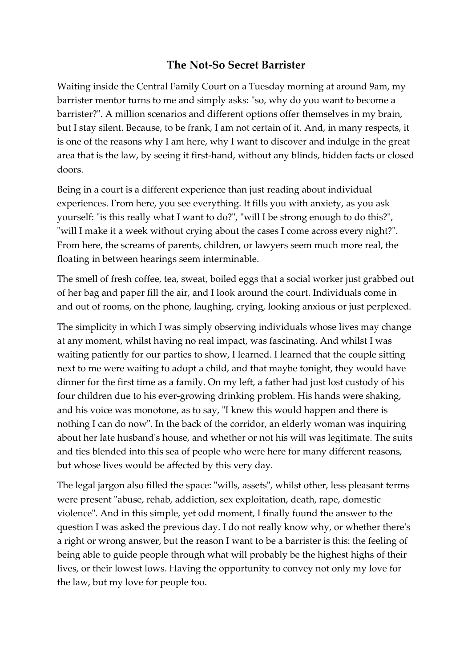## **The Not-So Secret Barrister**

Waiting inside the Central Family Court on a Tuesday morning at around 9am, my barrister mentor turns to me and simply asks: "so, why do you want to become a barrister?". A million scenarios and different options offer themselves in my brain, but I stay silent. Because, to be frank, I am not certain of it. And, in many respects, it is one of the reasons why I am here, why I want to discover and indulge in the great area that is the law, by seeing it first-hand, without any blinds, hidden facts or closed doors.

Being in a court is a different experience than just reading about individual experiences. From here, you see everything. It fills you with anxiety, as you ask yourself: "is this really what I want to do?", "will I be strong enough to do this?", "will I make it a week without crying about the cases I come across every night?". From here, the screams of parents, children, or lawyers seem much more real, the floating in between hearings seem interminable.

The smell of fresh coffee, tea, sweat, boiled eggs that a social worker just grabbed out of her bag and paper fill the air, and I look around the court. Individuals come in and out of rooms, on the phone, laughing, crying, looking anxious or just perplexed.

The simplicity in which I was simply observing individuals whose lives may change at any moment, whilst having no real impact, was fascinating. And whilst I was waiting patiently for our parties to show, I learned. I learned that the couple sitting next to me were waiting to adopt a child, and that maybe tonight, they would have dinner for the first time as a family. On my left, a father had just lost custody of his four children due to his ever-growing drinking problem. His hands were shaking, and his voice was monotone, as to say, "I knew this would happen and there is nothing I can do now". In the back of the corridor, an elderly woman was inquiring about her late husband's house, and whether or not his will was legitimate. The suits and ties blended into this sea of people who were here for many different reasons, but whose lives would be affected by this very day.

The legal jargon also filled the space: "wills, assets", whilst other, less pleasant terms were present "abuse, rehab, addiction, sex exploitation, death, rape, domestic violence". And in this simple, yet odd moment, I finally found the answer to the question I was asked the previous day. I do not really know why, or whether there's a right or wrong answer, but the reason I want to be a barrister is this: the feeling of being able to guide people through what will probably be the highest highs of their lives, or their lowest lows. Having the opportunity to convey not only my love for the law, but my love for people too.